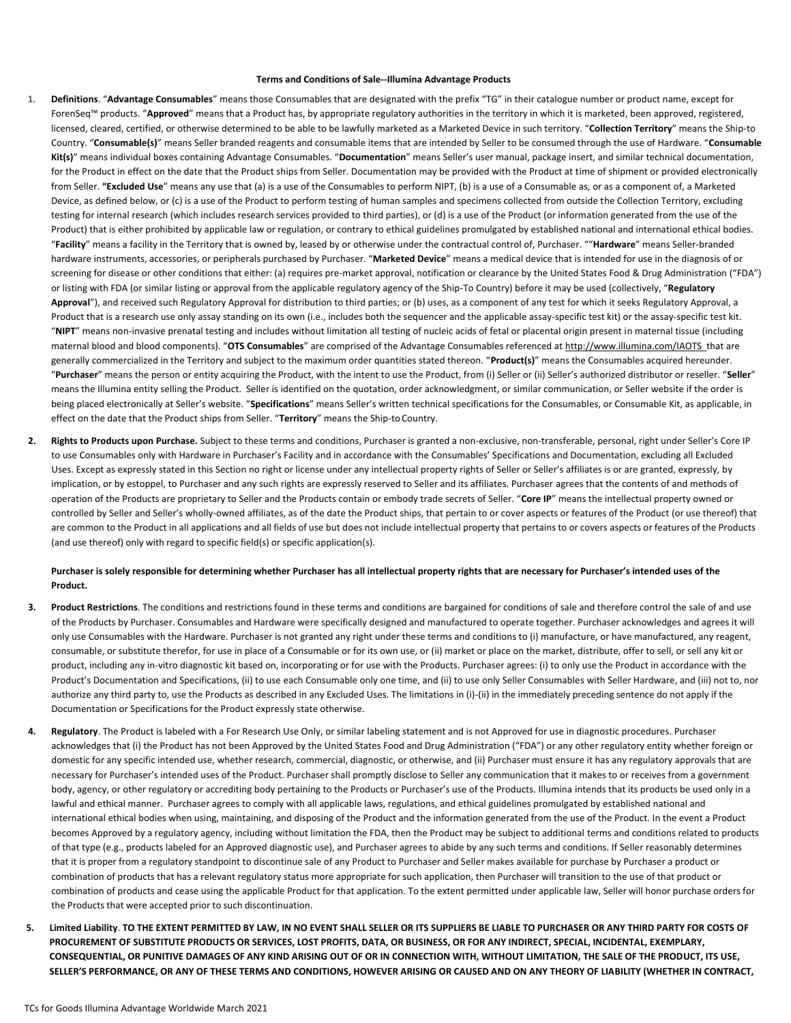## **Terms and Conditions of Sale--Illumina Advantage Products**

- **1. Definitions**. "**Advantage Consumables**" means those Consumables that are designated with the prefix "TG" in their catalogue number or product name, except for ForenSeq™ products. "**Approved**" means that a Product has, by appropriate regulatory authorities in the territory in which it is marketed, been approved, registered, licensed, cleared, certified, or otherwise determined to be able to be lawfully marketed as a Marketed Device in such territory. "**Collection Territory**" means the Ship-to Country. "**Consumable(s)**" means Seller branded reagents and consumable items that are intended by Seller to be consumed through the use of Hardware. "**Consumable Kit(s)**" means individual boxes containing Advantage Consumables. "**Documentation**" means Seller's user manual, package insert, and similar technical documentation, for the Product in effect on the date that the Product ships from Seller. Documentation may be provided with the Product at time of shipment or provided electronically from Seller. **"Excluded Use**" means any use that (a) is a use of the Consumables to perform NIPT, (b) is a use of a Consumable as, or as a component of, a Marketed Device, as defined below, or (c) is a use of the Product to perform testing of human samples and specimens collected from outside the Collection Territory, excluding testing for internal research (which includes research services provided to third parties), or (d) is a use of the Product (or information generated from the use of the Product) that is either prohibited by applicable law or regulation, or contrary to ethical guidelines promulgated by established national and international ethical bodies. "**Facility**" means a facility in the Territory that is owned by, leased by or otherwise under the contractual control of, Purchaser. ""**Hardware**" means Seller-branded hardware instruments, accessories, or peripherals purchased by Purchaser. "**Marketed Device**" means a medical device that is intended for use in the diagnosis of or screening for disease or other conditions that either: (a) requires pre-market approval, notification or clearance by the United States Food & Drug Administration ("FDA") or listing with FDA (or similar listing or approval from the applicable regulatory agency of the Ship-To Country) before it may be used (collectively, "**Regulatory**  Approval"), and received such Regulatory Approval for distribution to third parties; or (b) uses, as a component of any test for which it seeks Regulatory Approval, a Product that is a research use only assay standing on its own (i.e., includes both the sequencer and the applicable assay-specific test kit) or the assay-specific test kit. "**NIPT**" means non-invasive prenatal testing and includes without limitation all testing of nucleic acids of fetal or placental origin present in maternal tissue (including maternal blood and blood components). "**OTS Consumables**" are comprised of the Advantage Consumables referenced a[t http://www.illumina.com/IAOTS t](http://www.illumina.com/IAOTS)hat are generally commercialized in the Territory and subject to the maximum order quantities stated thereon. "**Product(s)**" means the Consumables acquired hereunder. "**Purchaser**" means the person or entity acquiring the Product, with the intent to use the Product, from (i) Seller or (ii) Seller's authorized distributor or reseller. "**Seller**" means the Illumina entity selling the Product. Seller is identified on the quotation, order acknowledgment, or similar communication, or Seller website if the order is being placed electronically at Seller's website. "**Specifications**" means Seller's written technical specifications for the Consumables, or Consumable Kit, as applicable, in effect on the date that the Product ships from Seller. "Territory" means the Ship-to Country.
- <span id="page-0-0"></span>**2. Rights to Products upon Purchase.** Subject to these terms and conditions, Purchaser is granted a non-exclusive, non-transferable, personal, right under Seller's Core IP to use Consumables only with Hardware in Purchaser's Facility and in accordance with the Consumables' Specifications and Documentation, excluding all Excluded Uses. Except as expressly stated in this Section no right or license under any intellectual property rights of Seller or Seller's affiliates is or are granted, expressly, by implication, or by estoppel, to Purchaser and any such rights are expressly reserved to Seller and its affiliates. Purchaser agrees that the contents of and methods of operation of the Products are proprietary to Seller and the Products contain or embody trade secrets of Seller. "**Core IP**" means the intellectual property owned or controlled by Seller and Seller's wholly-owned affiliates, as of the date the Product ships, that pertain to or cover aspects or features of the Product (or use thereof) that are common to the Product in all applications and all fields of use but does not include intellectual property that pertains to or covers aspects or features of the Products (and use thereof) only with regard to specific field(s) or specific application(s).

## Purchaser is solely responsible for determining whether Purchaser has all intellectual property rights that are necessary for Purchaser's intended uses of the **Product.**

- **3. Product Restrictions**. The conditions and restrictions found in these terms and conditions are bargained for conditions of sale and therefore control the sale of and use of the Products by Purchaser. Consumables and Hardware were specifically designed and manufactured to operate together. Purchaser acknowledges and agrees it will only use Consumables with the Hardware. Purchaser is not granted any right under these terms and conditions to (i) manufacture, or have manufactured, any reagent, consumable, or substitute therefor, for use in place of a Consumable or for its own use, or (ii) market or place on the market, distribute, offer to sell, or sell any kit or product, including any in-vitro diagnostic kit based on, incorporating or for use with the Products. Purchaser agrees: (i) to only use the Product in accordance with the Product's Documentation and Specifications, (ii) to use each Consumable only one time, and (ii) to use only Seller Consumables with Seller Hardware, and (iii) not to, nor authorize any third party to, use the Products as described in any Excluded Uses. The limitations in (i)-(ii) in the immediately preceding sentence do not apply if the Documentation or Specifications for the Product expressly state otherwise.
- **4. Regulatory**. The Product is labeled with a For Research Use Only, or similar labeling statement and is not Approved for use in diagnostic procedures. Purchaser acknowledges that (i) the Product has not been Approved by the United States Food and Drug Administration ("FDA") or any other regulatory entity whether foreign or domestic for any specific intended use, whether research, commercial, diagnostic, or otherwise, and (ii) Purchaser must ensure it has any regulatory approvals that are necessary for Purchaser's intended uses of the Product. Purchaser shall promptly disclose to Seller any communication that it makes to or receives from a government body, agency, or other regulatory or accrediting body pertaining to the Products or Purchaser's use of the Products. Illumina intends that its products be used only in a lawful and ethical manner. Purchaser agrees to comply with all applicable laws, regulations, and ethical guidelines promulgated by established national and international ethical bodies when using, maintaining, and disposing of the Product and the information generated from the use of the Product. In the event a Product becomes Approved by a regulatory agency, including without limitation the FDA, then the Product may be subject to additional terms and conditions related to products of that type (e.g., products labeled for an Approved diagnostic use), and Purchaser agrees to abide by any such terms and conditions. If Seller reasonably determines that it is proper from a regulatory standpoint to discontinue sale of any Product to Purchaser and Seller makes available for purchase by Purchaser a product or combination of products that has a relevant regulatory status more appropriate for such application, then Purchaser will transition to the use of that product or combination of products and cease using the applicable Product for that application. To the extent permitted under applicable law, Seller will honor purchase orders for the Products that were accepted prior to such discontinuation.
- **5. Limited Liability**. **TO THE EXTENT PERMITTED BY LAW, IN NO EVENT SHALL SELLER OR ITS SUPPLIERS BE LIABLE TO PURCHASER OR ANY THIRD PARTY FOR COSTS OF PROCUREMENT OF SUBSTITUTE PRODUCTS OR SERVICES, LOST PROFITS, DATA, OR BUSINESS, OR FOR ANY INDIRECT, SPECIAL, INCIDENTAL, EXEMPLARY, CONSEQUENTIAL, OR PUNITIVE DAMAGES OF ANY KIND ARISING OUT OF OR IN CONNECTION WITH, WITHOUT LIMITATION, THE SALE OF THE PRODUCT, ITS USE, SELLER'S PERFORMANCE, OR ANY OF THESE TERMS AND CONDITIONS, HOWEVER ARISING OR CAUSED AND ON ANY THEORY OF LIABILITY (WHETHER IN CONTRACT,**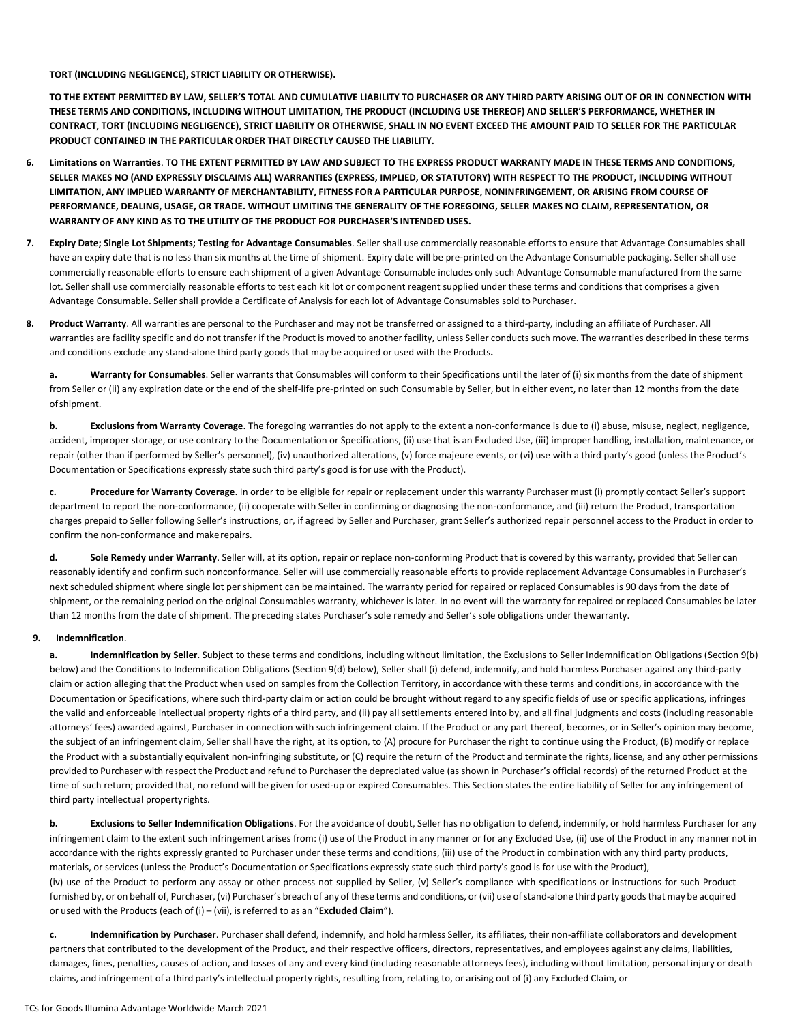**TORT (INCLUDING NEGLIGENCE), STRICT LIABILITY OR OTHERWISE).**

**TO THE EXTENT PERMITTED BY LAW, SELLER'S TOTAL AND CUMULATIVE LIABILITY TO PURCHASER OR ANY THIRD PARTY ARISING OUT OF OR IN CONNECTION WITH THESE TERMS AND CONDITIONS, INCLUDING WITHOUT LIMITATION, THE PRODUCT (INCLUDING USE THEREOF) AND SELLER'S PERFORMANCE, WHETHER IN CONTRACT, TORT (INCLUDING NEGLIGENCE), STRICT LIABILITY OR OTHERWISE, SHALL IN NO EVENT EXCEED THE AMOUNT PAID TO SELLER FOR THE PARTICULAR PRODUCT CONTAINED IN THE PARTICULAR ORDER THAT DIRECTLY CAUSED THE LIABILITY.**

- **6. Limitations on Warranties**. **TO THE EXTENT PERMITTED BY LAW AND SUBJECT TO THE EXPRESS PRODUCT WARRANTY MADE IN THESE TERMS AND CONDITIONS, SELLER MAKES NO (AND EXPRESSLY DISCLAIMS ALL) WARRANTIES (EXPRESS, IMPLIED, OR STATUTORY) WITH RESPECT TO THE PRODUCT, INCLUDING WITHOUT** LIMITATION, ANY IMPLIED WARRANTY OF MERCHANTABILITY, FITNESS FOR A PARTICULAR PURPOSE, NONINFRINGEMENT, OR ARISING FROM COURSE OF **PERFORMANCE, DEALING, USAGE, OR TRADE. WITHOUT LIMITING THE GENERALITY OF THE FOREGOING, SELLER MAKES NO CLAIM, REPRESENTATION, OR WARRANTY OF ANY KIND AS TO THE UTILITY OF THE PRODUCT FOR PURCHASER'S INTENDED USES.**
- **7. Expiry Date; Single Lot Shipments; Testing for Advantage Consumables**. Seller shall use commercially reasonable efforts to ensure that Advantage Consumables shall have an expiry date that is no less than six months at the time of shipment. Expiry date will be pre-printed on the Advantage Consumable packaging. Seller shall use commercially reasonable efforts to ensure each shipment of a given Advantage Consumable includes only such Advantage Consumable manufactured from the same lot. Seller shall use commercially reasonable efforts to test each kit lot or component reagent supplied under these terms and conditions that comprises a given Advantage Consumable. Seller shall provide a Certificate of Analysis for each lot of Advantage Consumables sold toPurchaser.
- **8. Product Warranty**. All warranties are personal to the Purchaser and may not be transferred or assigned to a third-party, including an affiliate of Purchaser. All warranties are facility specific and do not transfer if the Product is moved to another facility, unless Seller conducts such move. The warranties described in these terms and conditions exclude any stand-alone third party goods that may be acquired or used with the Products**.**

**a. Warranty for Consumables**. Seller warrants that Consumables will conform to their Specifications until the later of (i) six months from the date of shipment from Seller or (ii) any expiration date or the end of the shelf-life pre-printed on such Consumable by Seller, but in either event, no later than 12 months from the date ofshipment.

**b. Exclusions from Warranty Coverage**. The foregoing warranties do not apply to the extent a non-conformance is due to (i) abuse, misuse, neglect, negligence, accident, improper storage, or use contrary to the Documentation or Specifications, (ii) use that is an Excluded Use, (iii) improper handling, installation, maintenance, or repair (other than if performed by Seller's personnel), (iv) unauthorized alterations, (v) force majeure events, or (vi) use with a third party's good (unless the Product's Documentation or Specifications expressly state such third party's good is for use with the Product).

**c. Procedure for Warranty Coverage**. In order to be eligible for repair or replacement under this warranty Purchaser must (i) promptly contact Seller's support department to report the non-conformance, (ii) cooperate with Seller in confirming or diagnosing the non-conformance, and (iii) return the Product, transportation charges prepaid to Seller following Seller's instructions, or, if agreed by Seller and Purchaser, grant Seller's authorized repair personnel access to the Product in order to confirm the non-conformance and makerepairs.

**d. Sole Remedy under Warranty**. Seller will, at its option, repair or replace non-conforming Product that is covered by this warranty, provided that Seller can reasonably identify and confirm such nonconformance. Seller will use commercially reasonable efforts to provide replacement Advantage Consumables in Purchaser's next scheduled shipment where single lot per shipment can be maintained. The warranty period for repaired or replaced Consumables is 90 days from the date of shipment, or the remaining period on the original Consumables warranty, whichever is later. In no event will the warranty for repaired or replaced Consumables be later than 12 months from the date of shipment. The preceding states Purchaser's sole remedy and Seller's sole obligations under thewarranty.

## **9. Indemnification**.

**a. Indemnification by Seller**. Subject to these terms and conditions, including without limitation, the Exclusions to Seller Indemnification Obligations (Section 9(b) below) and the Conditions to Indemnification Obligations (Section 9(d) below), Seller shall (i) defend, indemnify, and hold harmless Purchaser against any third-party claim or action alleging that the Product when used on samples from the Collection Territory, in accordance with these terms and conditions, in accordance with the Documentation or Specifications, where such third-party claim or action could be brought without regard to any specific fields of use or specific applications, infringes the valid and enforceable intellectual property rights of a third party, and (ii) pay all settlements entered into by, and all final judgments and costs (including reasonable attorneys' fees) awarded against, Purchaser in connection with such infringement claim. If the Product or any part thereof, becomes, or in Seller's opinion may become, the subject of an infringement claim, Seller shall have the right, at its option, to (A) procure for Purchaser the right to continue using the Product, (B) modify or replace the Product with a substantially equivalent non-infringing substitute, or (C) require the return of the Product and terminate the rights, license, and any other permissions provided to Purchaser with respect the Product and refund to Purchaser the depreciated value (as shown in Purchaser's official records) of the returned Product at the time of such return; provided that, no refund will be given for used-up or expired Consumables. This Section states the entire liability of Seller for any infringement of third party intellectual propertyrights.

**b. Exclusions to Seller Indemnification Obligations**. For the avoidance of doubt, Seller has no obligation to defend, indemnify, or hold harmless Purchaser for any infringement claim to the extent such infringement arises from: (i) use of the Product in any manner or for any Excluded Use, (ii) use of the Product in any manner not in accordance with the rights expressly granted to Purchaser under these terms and conditions, (iii) use of the Product in combination with any third party products, materials, or services (unless the Product's Documentation or Specifications expressly state such third party's good is for use with the Product), (iv) use of the Product to perform any assay or other process not supplied by Seller, (v) Seller's compliance with specifications or instructions for such Product furnished by, or on behalf of, Purchaser, (vi) Purchaser's breach of any of these terms and conditions, or (vii) use of stand-alone third party goods that may be acquired or used with the Products (each of (i) – (vii), is referred to as an "**Excluded Claim**").

**c. Indemnification by Purchaser**. Purchaser shall defend, indemnify, and hold harmless Seller, its affiliates, their non-affiliate collaborators and development partners that contributed to the development of the Product, and their respective officers, directors, representatives, and employees against any claims, liabilities, damages, fines, penalties, causes of action, and losses of any and every kind (including reasonable attorneys fees), including without limitation, personal injury or death claims, and infringement of a third party's intellectual property rights, resulting from, relating to, or arising out of (i) any Excluded Claim, or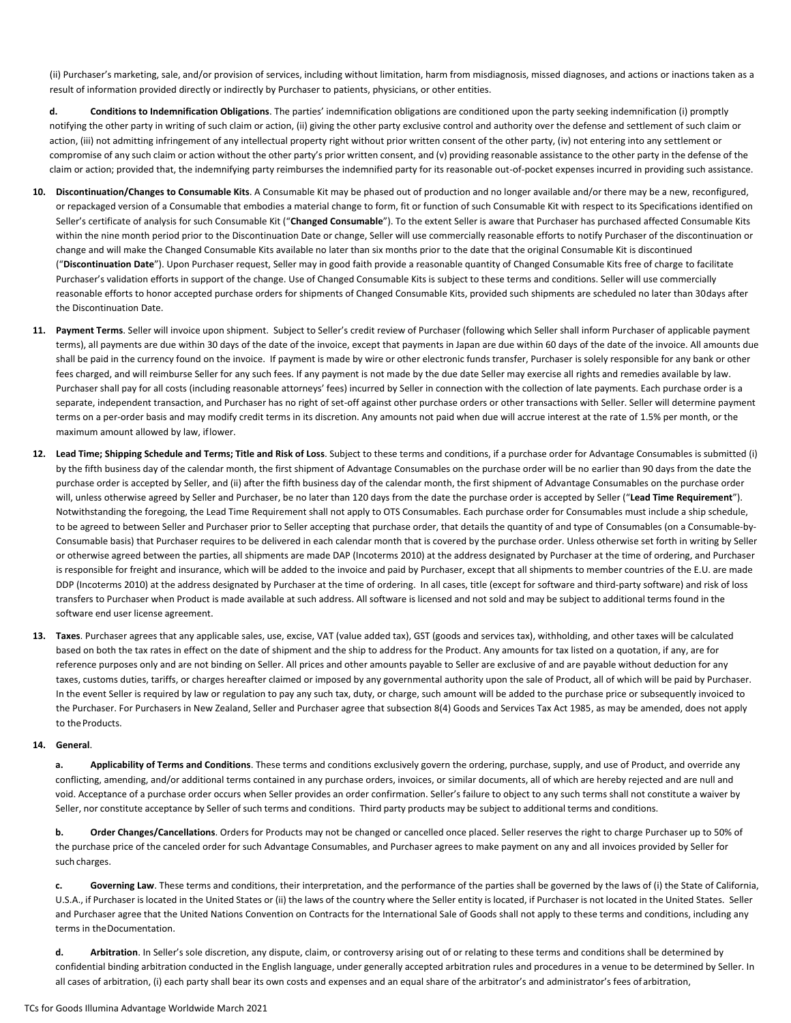(ii) Purchaser's marketing, sale, and/or provision of services, including without limitation, harm from misdiagnosis, missed diagnoses, and actions or inactions taken as a result of information provided directly or indirectly by Purchaser to patients, physicians, or other entities.

**d. Conditions to Indemnification Obligations**. The parties' indemnification obligations are conditioned upon the party seeking indemnification (i) promptly notifying the other party in writing of such claim or action, (ii) giving the other party exclusive control and authority over the defense and settlement of such claim or action, (iii) not admitting infringement of any intellectual property right without prior written consent of the other party, (iv) not entering into any settlement or compromise of any such claim or action without the other party's prior written consent, and (v) providing reasonable assistance to the other party in the defense of the claim or action; provided that, the indemnifying party reimburses the indemnified party for its reasonable out-of-pocket expenses incurred in providing such assistance.

- **10. Discontinuation/Changes to Consumable Kits**. A Consumable Kit may be phased out of production and no longer available and/or there may be a new, reconfigured, or repackaged version of a Consumable that embodies a material change to form, fit or function of such Consumable Kit with respect to its Specifications identified on Seller's certificate of analysis for such Consumable Kit ("**Changed Consumable**"). To the extent Seller is aware that Purchaser has purchased affected Consumable Kits within the nine month period prior to the Discontinuation Date or change, Seller will use commercially reasonable efforts to notify Purchaser of the discontinuation or change and will make the Changed Consumable Kits available no later than six months prior to the date that the original Consumable Kit is discontinued ("**Discontinuation Date**"). Upon Purchaser request, Seller may in good faith provide a reasonable quantity of Changed Consumable Kits free of charge to facilitate Purchaser's validation efforts in support of the change. Use of Changed Consumable Kits is subject to these terms and conditions. Seller will use commercially reasonable efforts to honor accepted purchase orders for shipments of Changed Consumable Kits, provided such shipments are scheduled no later than 30days after the Discontinuation Date.
- **11. Payment Terms**. Seller will invoice upon shipment. Subject to Seller's credit review of Purchaser (following which Seller shall inform Purchaser of applicable payment terms), all payments are due within 30 days of the date of the invoice, except that payments in Japan are due within 60 days of the date of the invoice. All amounts due shall be paid in the currency found on the invoice. If payment is made by wire or other electronic funds transfer, Purchaser is solely responsible for any bank or other fees charged, and will reimburse Seller for any such fees. If any payment is not made by the due date Seller may exercise all rights and remedies available by law. Purchaser shall pay for all costs (including reasonable attorneys' fees) incurred by Seller in connection with the collection of late payments. Each purchase order is a separate, independent transaction, and Purchaser has no right of set-off against other purchase orders or other transactions with Seller. Seller will determine payment terms on a per-order basis and may modify credit terms in its discretion. Any amounts not paid when due will accrue interest at the rate of 1.5% per month, or the maximum amount allowed by law, iflower.
- **12. Lead Time; Shipping Schedule and Terms; Title and Risk of Loss**. Subject to these terms and conditions, if a purchase order for Advantage Consumables is submitted (i) by the fifth business day of the calendar month, the first shipment of Advantage Consumables on the purchase order will be no earlier than 90 days from the date the purchase order is accepted by Seller, and (ii) after the fifth business day of the calendar month, the first shipment of Advantage Consumables on the purchase order will, unless otherwise agreed by Seller and Purchaser, be no later than 120 days from the date the purchase order is accepted by Seller ("**Lead Time Requirement**"). Notwithstanding the foregoing, the Lead Time Requirement shall not apply to OTS Consumables. Each purchase order for Consumables must include a ship schedule, to be agreed to between Seller and Purchaser prior to Seller accepting that purchase order, that details the quantity of and type of Consumables (on a Consumable-by-Consumable basis) that Purchaser requires to be delivered in each calendar month that is covered by the purchase order. Unless otherwise set forth in writing by Seller or otherwise agreed between the parties, all shipments are made DAP (Incoterms 2010) at the address designated by Purchaser at the time of ordering, and Purchaser is responsible for freight and insurance, which will be added to the invoice and paid by Purchaser, except that all shipments to member countries of the E.U. are made DDP (Incoterms 2010) at the address designated by Purchaser at the time of ordering. In all cases, title (except for software and third-party software) and risk of loss transfers to Purchaser when Product is made available at such address. All software is licensed and not sold and may be subject to additional terms found in the software end user license agreement.
- **13. Taxes**. Purchaser agrees that any applicable sales, use, excise, VAT (value added tax), GST (goods and services tax), withholding, and other taxes will be calculated based on both the tax rates in effect on the date of shipment and the ship to address for the Product. Any amounts for tax listed on a quotation, if any, are for reference purposes only and are not binding on Seller. All prices and other amounts payable to Seller are exclusive of and are payable without deduction for any taxes, customs duties, tariffs, or charges hereafter claimed or imposed by any governmental authority upon the sale of Product, all of which will be paid by Purchaser. In the event Seller is required by law or regulation to pay any such tax, duty, or charge, such amount will be added to the purchase price or subsequently invoiced to the Purchaser. For Purchasers in New Zealand, Seller and Purchaser agree that subsection 8(4) Goods and Services Tax Act 1985, as may be amended, does not apply to theProducts.

## **14. General**.

**a. Applicability of Terms and Conditions**. These terms and conditions exclusively govern the ordering, purchase, supply, and use of Product, and override any conflicting, amending, and/or additional terms contained in any purchase orders, invoices, or similar documents, all of which are hereby rejected and are null and void. Acceptance of a purchase order occurs when Seller provides an order confirmation. Seller's failure to object to any such terms shall not constitute a waiver by Seller, nor constitute acceptance by Seller of such terms and conditions. Third party products may be subject to additional terms and conditions.

**b. Order Changes/Cancellations**. Orders for Products may not be changed or cancelled once placed. Seller reserves the right to charge Purchaser up to 50% of the purchase price of the canceled order for such Advantage Consumables, and Purchaser agrees to make payment on any and all invoices provided by Seller for such charges.

**c. Governing Law**. These terms and conditions, their interpretation, and the performance of the parties shall be governed by the laws of (i) the State of California, U.S.A., if Purchaser is located in the United States or (ii) the laws of the country where the Seller entity is located, if Purchaser is not located in the United States. Seller and Purchaser agree that the United Nations Convention on Contracts for the International Sale of Goods shall not apply to these terms and conditions, including any terms in theDocumentation.

**d. Arbitration**. In Seller's sole discretion, any dispute, claim, or controversy arising out of or relating to these terms and conditions shall be determined by confidential binding arbitration conducted in the English language, under generally accepted arbitration rules and procedures in a venue to be determined by Seller. In all cases of arbitration, (i) each party shall bear its own costs and expenses and an equal share of the arbitrator's and administrator's fees of arbitration,